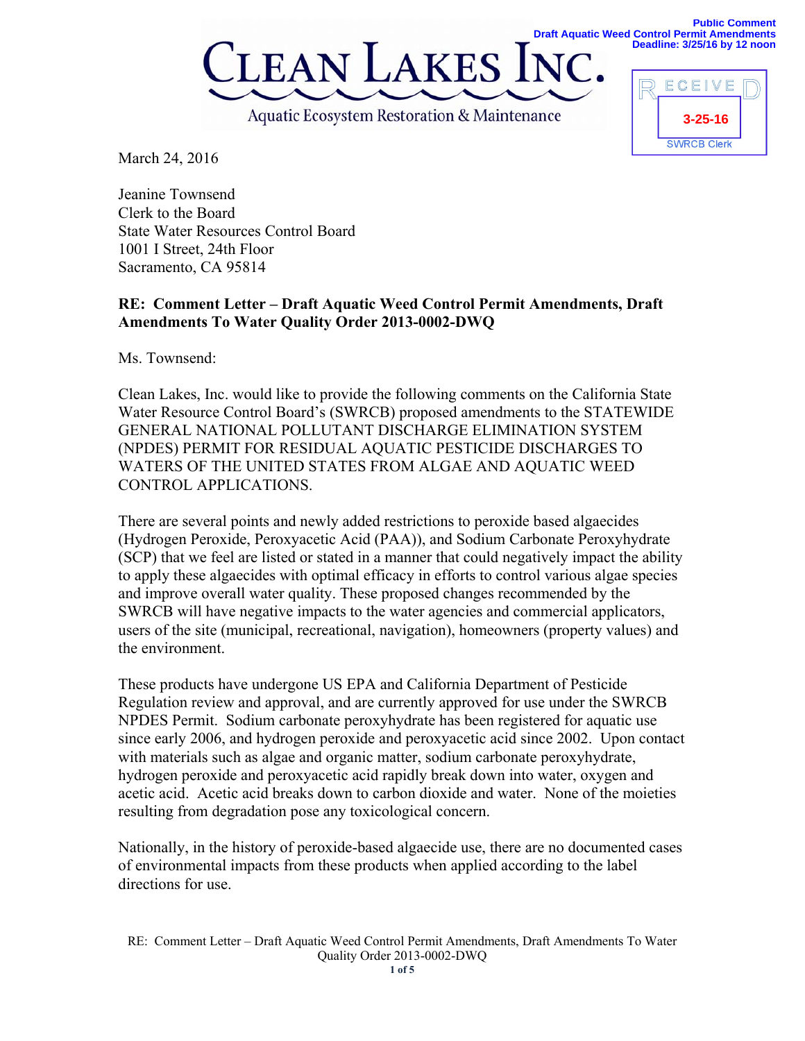



March 24, 2016

Jeanine Townsend Clerk to the Board State Water Resources Control Board 1001 I Street, 24th Floor Sacramento, CA 95814

## **RE: Comment Letter – Draft Aquatic Weed Control Permit Amendments, Draft Amendments To Water Quality Order 2013-0002-DWQ**

Ms. Townsend<sup>.</sup>

Clean Lakes, Inc. would like to provide the following comments on the California State Water Resource Control Board's (SWRCB) proposed amendments to the STATEWIDE GENERAL NATIONAL POLLUTANT DISCHARGE ELIMINATION SYSTEM (NPDES) PERMIT FOR RESIDUAL AQUATIC PESTICIDE DISCHARGES TO WATERS OF THE UNITED STATES FROM ALGAE AND AQUATIC WEED CONTROL APPLICATIONS.

There are several points and newly added restrictions to peroxide based algaecides (Hydrogen Peroxide, Peroxyacetic Acid (PAA)), and Sodium Carbonate Peroxyhydrate (SCP) that we feel are listed or stated in a manner that could negatively impact the ability to apply these algaecides with optimal efficacy in efforts to control various algae species and improve overall water quality. These proposed changes recommended by the SWRCB will have negative impacts to the water agencies and commercial applicators, users of the site (municipal, recreational, navigation), homeowners (property values) and the environment.

These products have undergone US EPA and California Department of Pesticide Regulation review and approval, and are currently approved for use under the SWRCB NPDES Permit. Sodium carbonate peroxyhydrate has been registered for aquatic use since early 2006, and hydrogen peroxide and peroxyacetic acid since 2002. Upon contact with materials such as algae and organic matter, sodium carbonate peroxyhydrate, hydrogen peroxide and peroxyacetic acid rapidly break down into water, oxygen and acetic acid. Acetic acid breaks down to carbon dioxide and water. None of the moieties resulting from degradation pose any toxicological concern.

Nationally, in the history of peroxide-based algaecide use, there are no documented cases of environmental impacts from these products when applied according to the label directions for use.

RE: Comment Letter – Draft Aquatic Weed Control Permit Amendments, Draft Amendments To Water Quality Order 2013-0002-DWQ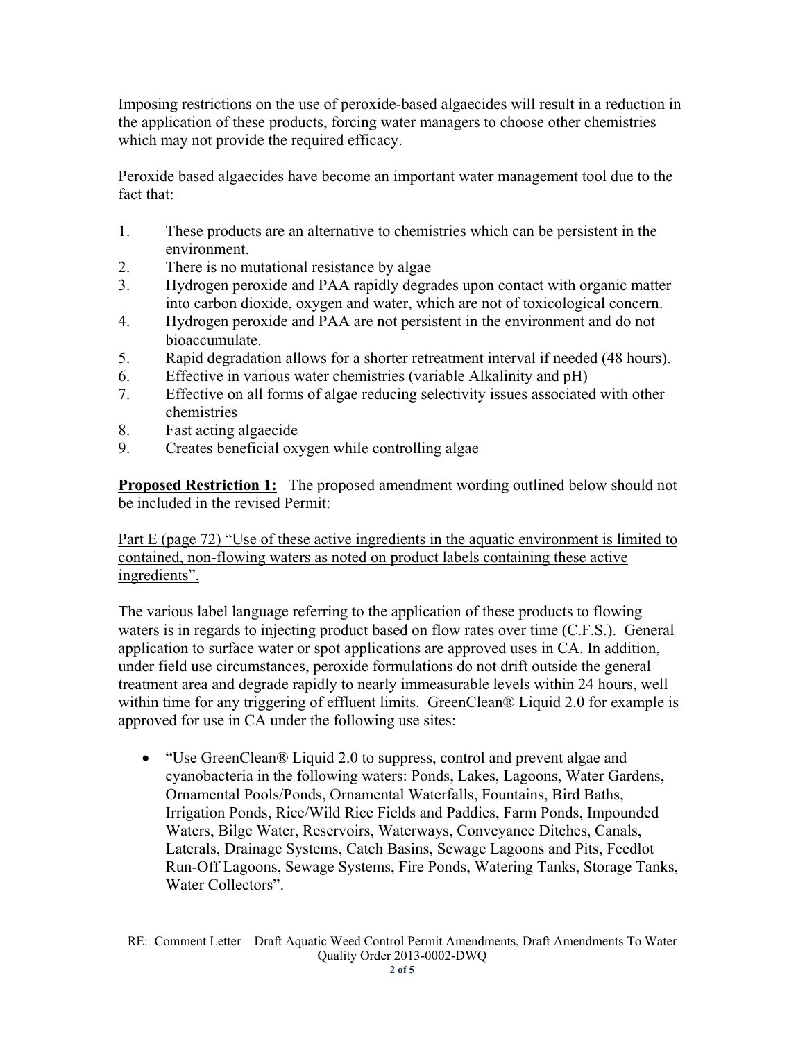Imposing restrictions on the use of peroxide-based algaecides will result in a reduction in the application of these products, forcing water managers to choose other chemistries which may not provide the required efficacy.

Peroxide based algaecides have become an important water management tool due to the fact that:

- 1. These products are an alternative to chemistries which can be persistent in the environment.
- 2. There is no mutational resistance by algae
- 3. Hydrogen peroxide and PAA rapidly degrades upon contact with organic matter into carbon dioxide, oxygen and water, which are not of toxicological concern.
- 4. Hydrogen peroxide and PAA are not persistent in the environment and do not bioaccumulate.
- 5. Rapid degradation allows for a shorter retreatment interval if needed (48 hours).
- 6. Effective in various water chemistries (variable Alkalinity and pH)
- 7. Effective on all forms of algae reducing selectivity issues associated with other chemistries
- 8. Fast acting algaecide
- 9. Creates beneficial oxygen while controlling algae

**Proposed Restriction 1:** The proposed amendment wording outlined below should not be included in the revised Permit:

Part E (page 72) "Use of these active ingredients in the aquatic environment is limited to contained, non-flowing waters as noted on product labels containing these active ingredients".

The various label language referring to the application of these products to flowing waters is in regards to injecting product based on flow rates over time (C.F.S.). General application to surface water or spot applications are approved uses in CA. In addition, under field use circumstances, peroxide formulations do not drift outside the general treatment area and degrade rapidly to nearly immeasurable levels within 24 hours, well within time for any triggering of effluent limits. GreenClean® Liquid 2.0 for example is approved for use in CA under the following use sites:

• "Use GreenClean® Liquid 2.0 to suppress, control and prevent algae and cyanobacteria in the following waters: Ponds, Lakes, Lagoons, Water Gardens, Ornamental Pools/Ponds, Ornamental Waterfalls, Fountains, Bird Baths, Irrigation Ponds, Rice/Wild Rice Fields and Paddies, Farm Ponds, Impounded Waters, Bilge Water, Reservoirs, Waterways, Conveyance Ditches, Canals, Laterals, Drainage Systems, Catch Basins, Sewage Lagoons and Pits, Feedlot Run-Off Lagoons, Sewage Systems, Fire Ponds, Watering Tanks, Storage Tanks, Water Collectors".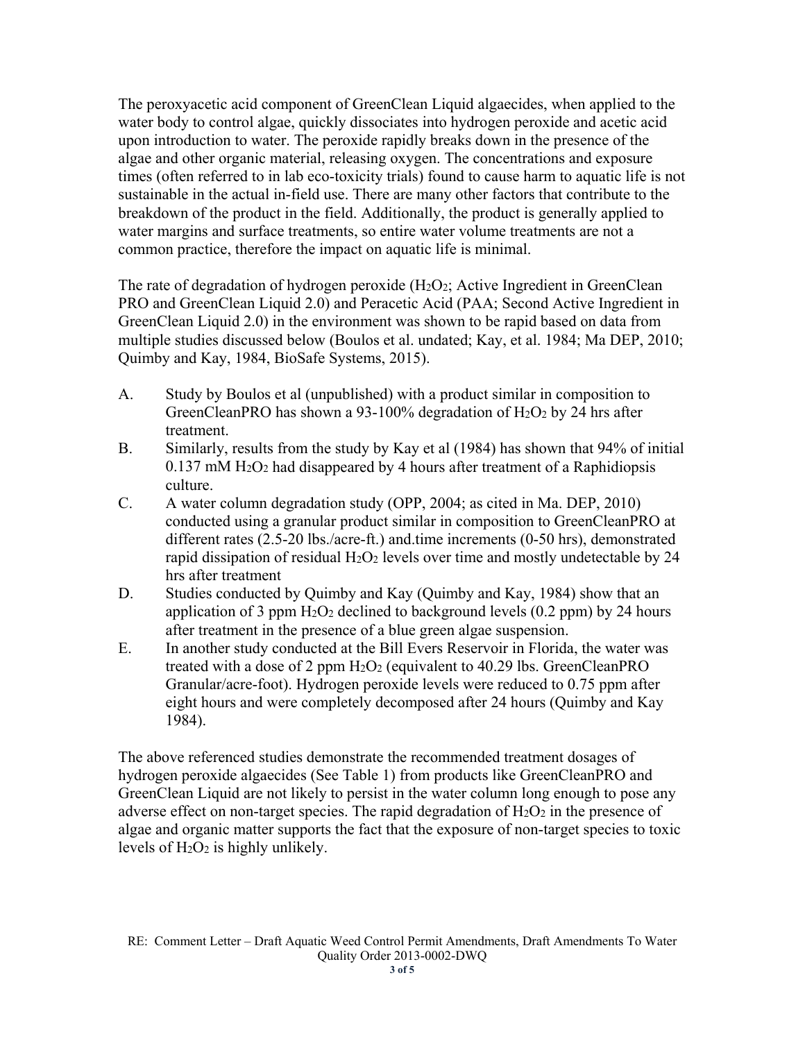The peroxyacetic acid component of GreenClean Liquid algaecides, when applied to the water body to control algae, quickly dissociates into hydrogen peroxide and acetic acid upon introduction to water. The peroxide rapidly breaks down in the presence of the algae and other organic material, releasing oxygen. The concentrations and exposure times (often referred to in lab eco-toxicity trials) found to cause harm to aquatic life is not sustainable in the actual in-field use. There are many other factors that contribute to the breakdown of the product in the field. Additionally, the product is generally applied to water margins and surface treatments, so entire water volume treatments are not a common practice, therefore the impact on aquatic life is minimal.

The rate of degradation of hydrogen peroxide  $(H_2O_2)$ ; Active Ingredient in GreenClean PRO and GreenClean Liquid 2.0) and Peracetic Acid (PAA; Second Active Ingredient in GreenClean Liquid 2.0) in the environment was shown to be rapid based on data from multiple studies discussed below (Boulos et al. undated; Kay, et al. 1984; Ma DEP, 2010; Quimby and Kay, 1984, BioSafe Systems, 2015).

- A. Study by Boulos et al (unpublished) with a product similar in composition to GreenCleanPRO has shown a 93-100% degradation of  $H_2O_2$  by 24 hrs after treatment.
- B. Similarly, results from the study by Kay et al (1984) has shown that 94% of initial  $0.137$  mM  $H<sub>2</sub>O<sub>2</sub>$  had disappeared by 4 hours after treatment of a Raphidiopsis culture.
- C. A water column degradation study (OPP, 2004; as cited in Ma. DEP, 2010) conducted using a granular product similar in composition to GreenCleanPRO at different rates (2.5-20 lbs./acre-ft.) and.time increments (0-50 hrs), demonstrated rapid dissipation of residual  $H_2O_2$  levels over time and mostly undetectable by 24 hrs after treatment
- D. Studies conducted by Quimby and Kay (Quimby and Kay, 1984) show that an application of 3 ppm  $H_2O_2$  declined to background levels (0.2 ppm) by 24 hours after treatment in the presence of a blue green algae suspension.
- E. In another study conducted at the Bill Evers Reservoir in Florida, the water was treated with a dose of 2 ppm H2O2 (equivalent to 40.29 lbs. GreenCleanPRO Granular/acre-foot). Hydrogen peroxide levels were reduced to 0.75 ppm after eight hours and were completely decomposed after 24 hours (Quimby and Kay 1984).

The above referenced studies demonstrate the recommended treatment dosages of hydrogen peroxide algaecides (See Table 1) from products like GreenCleanPRO and GreenClean Liquid are not likely to persist in the water column long enough to pose any adverse effect on non-target species. The rapid degradation of  $H_2O_2$  in the presence of algae and organic matter supports the fact that the exposure of non-target species to toxic levels of  $H_2O_2$  is highly unlikely.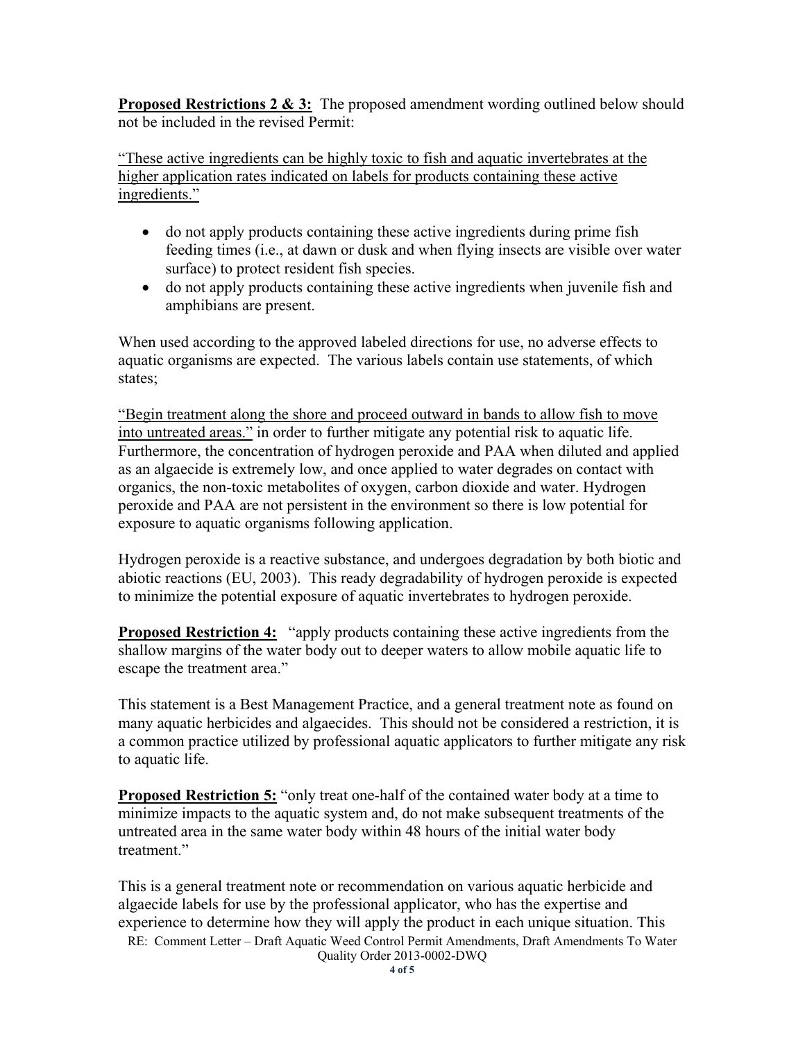**Proposed Restrictions 2 & 3:** The proposed amendment wording outlined below should not be included in the revised Permit:

"These active ingredients can be highly toxic to fish and aquatic invertebrates at the higher application rates indicated on labels for products containing these active ingredients."

- do not apply products containing these active ingredients during prime fish feeding times (i.e., at dawn or dusk and when flying insects are visible over water surface) to protect resident fish species.
- do not apply products containing these active ingredients when juvenile fish and amphibians are present.

When used according to the approved labeled directions for use, no adverse effects to aquatic organisms are expected. The various labels contain use statements, of which states;

"Begin treatment along the shore and proceed outward in bands to allow fish to move into untreated areas." in order to further mitigate any potential risk to aquatic life. Furthermore, the concentration of hydrogen peroxide and PAA when diluted and applied as an algaecide is extremely low, and once applied to water degrades on contact with organics, the non-toxic metabolites of oxygen, carbon dioxide and water. Hydrogen peroxide and PAA are not persistent in the environment so there is low potential for exposure to aquatic organisms following application.

Hydrogen peroxide is a reactive substance, and undergoes degradation by both biotic and abiotic reactions (EU, 2003). This ready degradability of hydrogen peroxide is expected to minimize the potential exposure of aquatic invertebrates to hydrogen peroxide.

**Proposed Restriction 4:** "apply products containing these active ingredients from the shallow margins of the water body out to deeper waters to allow mobile aquatic life to escape the treatment area."

This statement is a Best Management Practice, and a general treatment note as found on many aquatic herbicides and algaecides. This should not be considered a restriction, it is a common practice utilized by professional aquatic applicators to further mitigate any risk to aquatic life.

**Proposed Restriction 5:** "only treat one-half of the contained water body at a time to minimize impacts to the aquatic system and, do not make subsequent treatments of the untreated area in the same water body within 48 hours of the initial water body treatment<sup>"</sup>

This is a general treatment note or recommendation on various aquatic herbicide and algaecide labels for use by the professional applicator, who has the expertise and experience to determine how they will apply the product in each unique situation. This

RE: Comment Letter – Draft Aquatic Weed Control Permit Amendments, Draft Amendments To Water Quality Order 2013-0002-DWQ